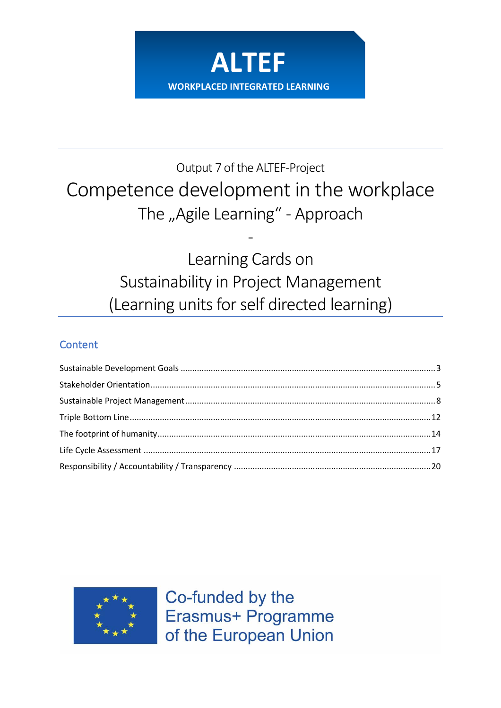

# Output 7 of the ALTEF-Project Competence development in the workplace The "Agile Learning" - Approach

Learning Cards on Sustainability in Project Management (Learning units for self directed learning)

-

# **Content**



Co-funded by the Erasmus+ Programme of the European Union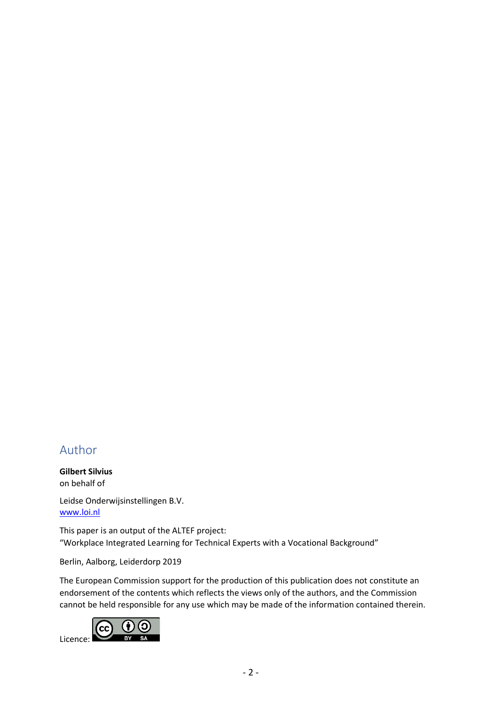# Author

**Gilbert Silvius** on behalf of

Leidse Onderwijsinstellingen B.V. [www.loi.nl](http://www.loi.nl/)

This paper is an output of the ALTEF project: "Workplace Integrated Learning for Technical Experts with a Vocational Background"

Berlin, Aalborg, Leiderdorp 2019

The European Commission support for the production of this publication does not constitute an endorsement of the contents which reflects the views only of the authors, and the Commission cannot be held responsible for any use which may be made of the information contained therein.

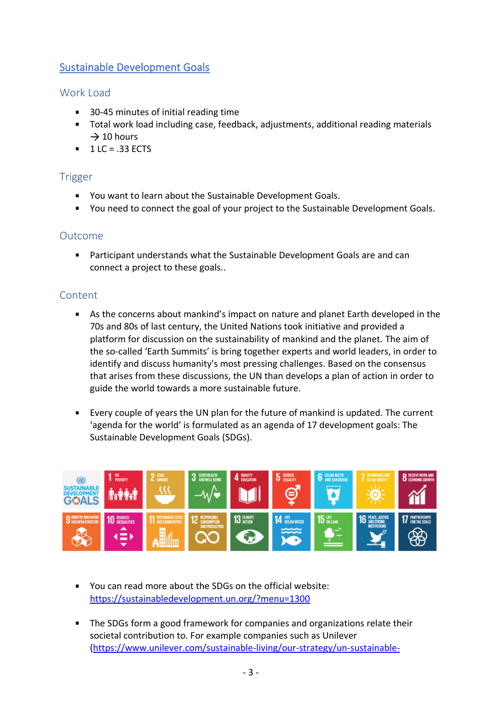# <span id="page-2-0"></span>Sustainable Development Goals

## Work Load

- 30-45 minutes of initial reading time
- Total work load including case, feedback, adjustments, additional reading materials  $\rightarrow$  10 hours
- $-1$  LC = .33 ECTS

## Trigger

- You want to learn about the Sustainable Development Goals.
- You need to connect the goal of your project to the Sustainable Development Goals.

#### Outcome

Participant understands what the Sustainable Development Goals are and can connect a project to these goals..

- As the concerns about mankind's impact on nature and planet Earth developed in the 70s and 80s of last century, the United Nations took initiative and provided a platform for discussion on the sustainability of mankind and the planet. The aim of the so-called 'Earth Summits' is bring together experts and world leaders, in order to identify and discuss humanity's most pressing challenges. Based on the consensus that arises from these discussions, the UN than develops a plan of action in order to guide the world towards a more sustainable future.
- Every couple of years the UN plan for the future of mankind is updated. The current 'agenda for the world' is formulated as an agenda of 17 development goals: The Sustainable Development Goals (SDGs).



- You can read more about the SDGs on the official website: <https://sustainabledevelopment.un.org/?menu=1300>
- **The SDGs form a good framework for companies and organizations relate their** societal contribution to. For example companies such as Unilever [\(https://www.unilever.com/sustainable-living/our-strategy/un-sustainable-](https://www.unilever.com/sustainable-living/our-strategy/un-sustainable-development-goals/)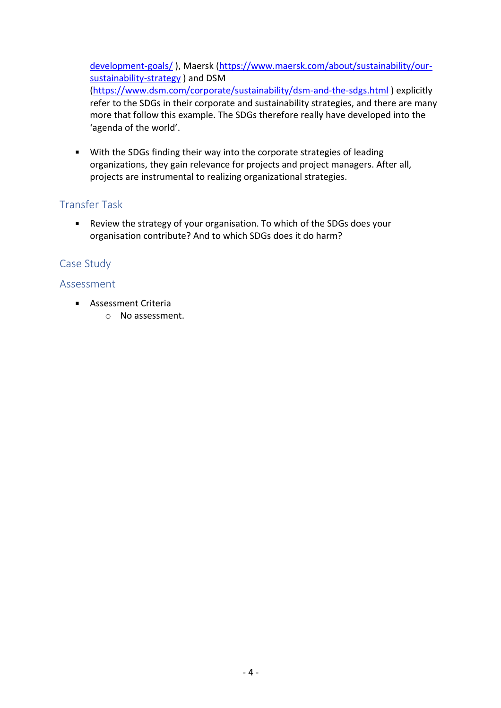[development-goals/](https://www.unilever.com/sustainable-living/our-strategy/un-sustainable-development-goals/)), Maersk [\(https://www.maersk.com/about/sustainability/our](https://www.maersk.com/about/sustainability/our-sustainability-strategy)[sustainability-strategy](https://www.maersk.com/about/sustainability/our-sustainability-strategy) ) and DSM [\(https://www.dsm.com/corporate/sustainability/dsm-and-the-sdgs.html](https://www.dsm.com/corporate/sustainability/dsm-and-the-sdgs.html) ) explicitly refer to the SDGs in their corporate and sustainability strategies, and there are many more that follow this example. The SDGs therefore really have developed into the 'agenda of the world'.

With the SDGs finding their way into the corporate strategies of leading organizations, they gain relevance for projects and project managers. After all, projects are instrumental to realizing organizational strategies.

# Transfer Task

Review the strategy of your organisation. To which of the SDGs does your organisation contribute? And to which SDGs does it do harm?

# Case Study

- **Assessment Criteria** 
	- o No assessment.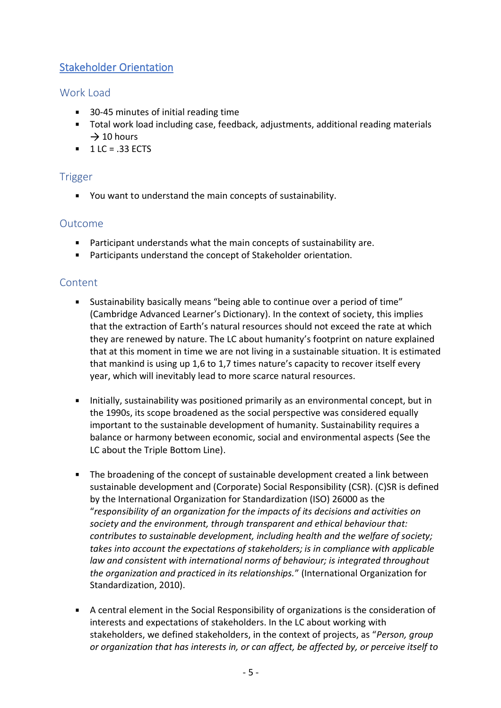# <span id="page-4-0"></span>Stakeholder Orientation

# Work Load

- 30-45 minutes of initial reading time
- Total work load including case, feedback, adjustments, additional reading materials  $\rightarrow$  10 hours
- $1 LC = .33 ECTS$

# Trigger

You want to understand the main concepts of sustainability.

# Outcome

- Participant understands what the main concepts of sustainability are.
- Participants understand the concept of Stakeholder orientation.

- Sustainability basically means "being able to continue over a period of time" (Cambridge Advanced Learner's Dictionary). In the context of society, this implies that the extraction of Earth's natural resources should not exceed the rate at which they are renewed by nature. The LC about humanity's footprint on nature explained that at this moment in time we are not living in a sustainable situation. It is estimated that mankind is using up 1,6 to 1,7 times nature's capacity to recover itself every year, which will inevitably lead to more scarce natural resources.
- Initially, sustainability was positioned primarily as an environmental concept, but in the 1990s, its scope broadened as the social perspective was considered equally important to the sustainable development of humanity. Sustainability requires a balance or harmony between economic, social and environmental aspects (See the LC about the Triple Bottom Line).
- The broadening of the concept of sustainable development created a link between sustainable development and (Corporate) Social Responsibility (CSR). (C)SR is defined by the International Organization for Standardization (ISO) 26000 as the "*responsibility of an organization for the impacts of its decisions and activities on society and the environment, through transparent and ethical behaviour that: contributes to sustainable development, including health and the welfare of society; takes into account the expectations of stakeholders; is in compliance with applicable law and consistent with international norms of behaviour; is integrated throughout the organization and practiced in its relationships.*" (International Organization for Standardization, 2010).
- A central element in the Social Responsibility of organizations is the consideration of interests and expectations of stakeholders. In the LC about working with stakeholders, we defined stakeholders, in the context of projects, as "*Person, group or organization that has interests in, or can affect, be affected by, or perceive itself to*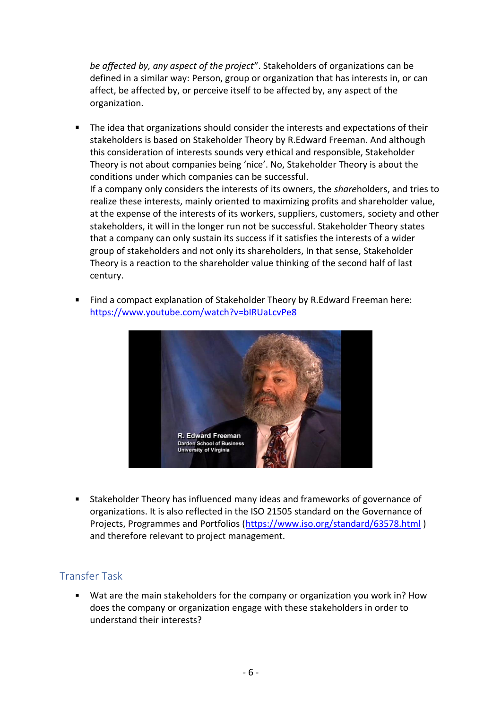*be affected by, any aspect of the project*". Stakeholders of organizations can be defined in a similar way: Person, group or organization that has interests in, or can affect, be affected by, or perceive itself to be affected by, any aspect of the organization.

- The idea that organizations should consider the interests and expectations of their stakeholders is based on Stakeholder Theory by R.Edward Freeman. And although this consideration of interests sounds very ethical and responsible, Stakeholder Theory is not about companies being 'nice'. No, Stakeholder Theory is about the conditions under which companies can be successful. If a company only considers the interests of its owners, the *share*holders, and tries to realize these interests, mainly oriented to maximizing profits and shareholder value, at the expense of the interests of its workers, suppliers, customers, society and other stakeholders, it will in the longer run not be successful. Stakeholder Theory states that a company can only sustain its success if it satisfies the interests of a wider group of stakeholders and not only its shareholders, In that sense, Stakeholder Theory is a reaction to the shareholder value thinking of the second half of last century.
- Find a compact explanation of Stakeholder Theory by R.Edward Freeman here: <https://www.youtube.com/watch?v=bIRUaLcvPe8>



Stakeholder Theory has influenced many ideas and frameworks of governance of organizations. It is also reflected in the ISO 21505 standard on the Governance of Projects, Programmes and Portfolios [\(https://www.iso.org/standard/63578.html](https://www.iso.org/standard/63578.html) ) and therefore relevant to project management.

#### Transfer Task

Wat are the main stakeholders for the company or organization you work in? How does the company or organization engage with these stakeholders in order to understand their interests?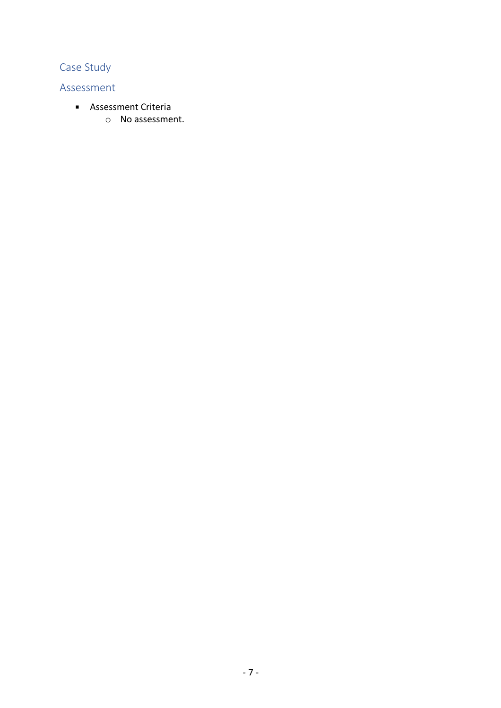# Case Study

- **Assessment Criteria** 
	- o No assessment.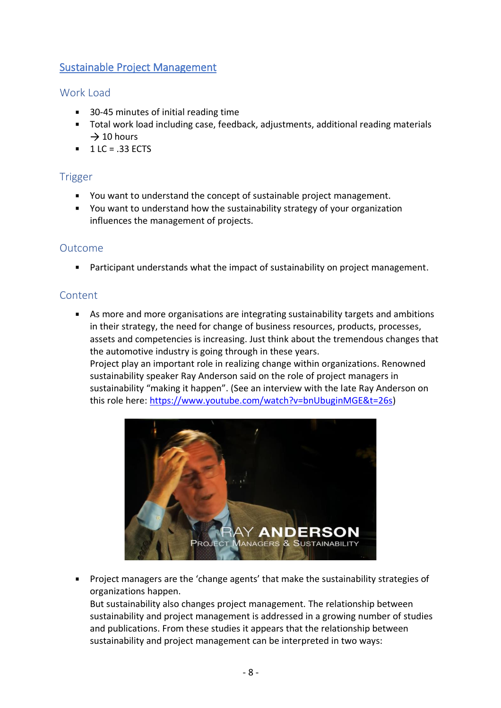# <span id="page-7-0"></span>Sustainable Project Management

## Work Load

- 30-45 minutes of initial reading time
- Total work load including case, feedback, adjustments, additional reading materials  $\rightarrow$  10 hours
- $1 LC = .33 ECTS$

## Trigger

- You want to understand the concept of sustainable project management.
- You want to understand how the sustainability strategy of your organization influences the management of projects.

#### Outcome

**Participant understands what the impact of sustainability on project management.** 

#### **Content**

As more and more organisations are integrating sustainability targets and ambitions in their strategy, the need for change of business resources, products, processes, assets and competencies is increasing. Just think about the tremendous changes that the automotive industry is going through in these years.

Project play an important role in realizing change within organizations. Renowned sustainability speaker Ray Anderson said on the role of project managers in sustainability "making it happen". (See an interview with the late Ray Anderson on this role here: [https://www.youtube.com/watch?v=bnUbuginMGE&t=26s\)](https://www.youtube.com/watch?v=bnUbuginMGE&t=26s)



**Project managers are the 'change agents' that make the sustainability strategies of** organizations happen.

But sustainability also changes project management. The relationship between sustainability and project management is addressed in a growing number of studies and publications. From these studies it appears that the relationship between sustainability and project management can be interpreted in two ways: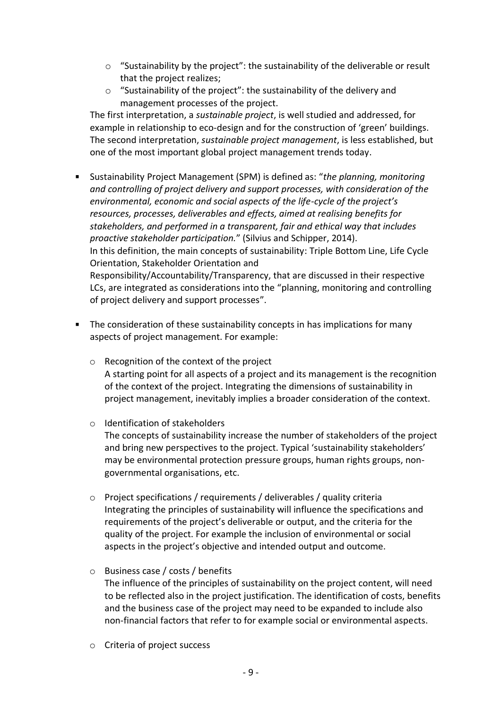- $\circ$  "Sustainability by the project": the sustainability of the deliverable or result that the project realizes;
- o "Sustainability of the project": the sustainability of the delivery and management processes of the project.

The first interpretation, a *sustainable project*, is well studied and addressed, for example in relationship to eco-design and for the construction of 'green' buildings. The second interpretation, *sustainable project management*, is less established, but one of the most important global project management trends today.

- Sustainability Project Management (SPM) is defined as: "*the planning, monitoring and controlling of project delivery and support processes, with consideration of the environmental, economic and social aspects of the life-cycle of the project's resources, processes, deliverables and effects, aimed at realising benefits for stakeholders, and performed in a transparent, fair and ethical way that includes proactive stakeholder participation.*" (Silvius and Schipper, 2014). In this definition, the main concepts of sustainability: Triple Bottom Line, Life Cycle Orientation, Stakeholder Orientation and Responsibility/Accountability/Transparency, that are discussed in their respective LCs, are integrated as considerations into the "planning, monitoring and controlling of project delivery and support processes".
- **The consideration of these sustainability concepts in has implications for many** aspects of project management. For example:
	- o Recognition of the context of the project A starting point for all aspects of a project and its management is the recognition of the context of the project. Integrating the dimensions of sustainability in project management, inevitably implies a broader consideration of the context.
	- o Identification of stakeholders The concepts of sustainability increase the number of stakeholders of the project and bring new perspectives to the project. Typical 'sustainability stakeholders' may be environmental protection pressure groups, human rights groups, nongovernmental organisations, etc.
	- $\circ$  Project specifications / requirements / deliverables / quality criteria Integrating the principles of sustainability will influence the specifications and requirements of the project's deliverable or output, and the criteria for the quality of the project. For example the inclusion of environmental or social aspects in the project's objective and intended output and outcome.
	- o Business case / costs / benefits The influence of the principles of sustainability on the project content, will need to be reflected also in the project justification. The identification of costs, benefits and the business case of the project may need to be expanded to include also non-financial factors that refer to for example social or environmental aspects.
	- o Criteria of project success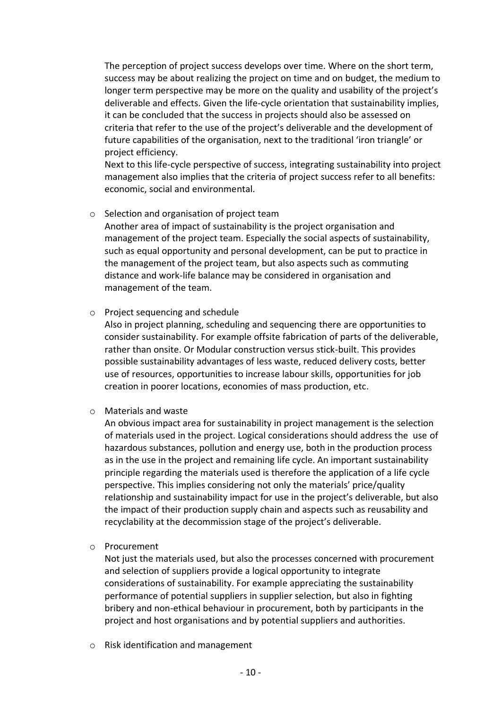The perception of project success develops over time. Where on the short term, success may be about realizing the project on time and on budget, the medium to longer term perspective may be more on the quality and usability of the project's deliverable and effects. Given the life-cycle orientation that sustainability implies, it can be concluded that the success in projects should also be assessed on criteria that refer to the use of the project's deliverable and the development of future capabilities of the organisation, next to the traditional 'iron triangle' or project efficiency.

Next to this life-cycle perspective of success, integrating sustainability into project management also implies that the criteria of project success refer to all benefits: economic, social and environmental.

#### o Selection and organisation of project team

Another area of impact of sustainability is the project organisation and management of the project team. Especially the social aspects of sustainability, such as equal opportunity and personal development, can be put to practice in the management of the project team, but also aspects such as commuting distance and work-life balance may be considered in organisation and management of the team.

#### o Project sequencing and schedule

Also in project planning, scheduling and sequencing there are opportunities to consider sustainability. For example offsite fabrication of parts of the deliverable, rather than onsite. Or Modular construction versus stick-built. This provides possible sustainability advantages of less waste, reduced delivery costs, better use of resources, opportunities to increase labour skills, opportunities for job creation in poorer locations, economies of mass production, etc.

#### o Materials and waste

An obvious impact area for sustainability in project management is the selection of materials used in the project. Logical considerations should address the use of hazardous substances, pollution and energy use, both in the production process as in the use in the project and remaining life cycle. An important sustainability principle regarding the materials used is therefore the application of a life cycle perspective. This implies considering not only the materials' price/quality relationship and sustainability impact for use in the project's deliverable, but also the impact of their production supply chain and aspects such as reusability and recyclability at the decommission stage of the project's deliverable.

#### o Procurement

Not just the materials used, but also the processes concerned with procurement and selection of suppliers provide a logical opportunity to integrate considerations of sustainability. For example appreciating the sustainability performance of potential suppliers in supplier selection, but also in fighting bribery and non-ethical behaviour in procurement, both by participants in the project and host organisations and by potential suppliers and authorities.

o Risk identification and management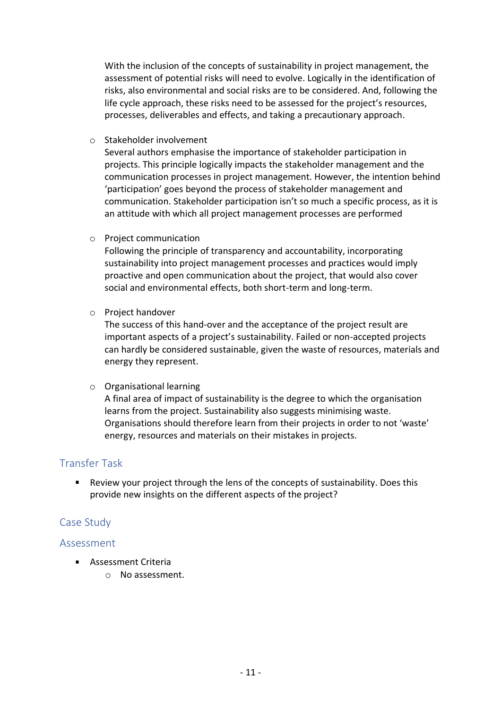With the inclusion of the concepts of sustainability in project management, the assessment of potential risks will need to evolve. Logically in the identification of risks, also environmental and social risks are to be considered. And, following the life cycle approach, these risks need to be assessed for the project's resources, processes, deliverables and effects, and taking a precautionary approach.

o Stakeholder involvement

Several authors emphasise the importance of stakeholder participation in projects. This principle logically impacts the stakeholder management and the communication processes in project management. However, the intention behind 'participation' goes beyond the process of stakeholder management and communication. Stakeholder participation isn't so much a specific process, as it is an attitude with which all project management processes are performed

o Project communication

Following the principle of transparency and accountability, incorporating sustainability into project management processes and practices would imply proactive and open communication about the project, that would also cover social and environmental effects, both short-term and long-term.

o Project handover

The success of this hand-over and the acceptance of the project result are important aspects of a project's sustainability. Failed or non-accepted projects can hardly be considered sustainable, given the waste of resources, materials and energy they represent.

o Organisational learning

A final area of impact of sustainability is the degree to which the organisation learns from the project. Sustainability also suggests minimising waste. Organisations should therefore learn from their projects in order to not 'waste' energy, resources and materials on their mistakes in projects.

#### Transfer Task

Review your project through the lens of the concepts of sustainability. Does this provide new insights on the different aspects of the project?

#### Case Study

- **Assessment Criteria** 
	- o No assessment.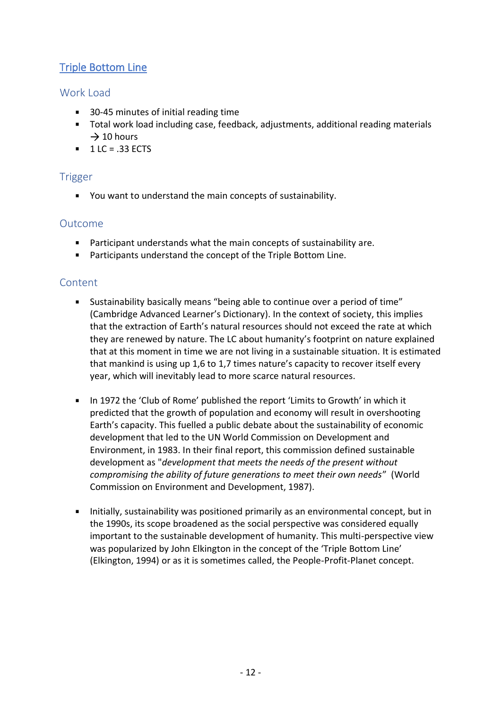# <span id="page-11-0"></span>Triple Bottom Line

# Work Load

- 30-45 minutes of initial reading time
- Total work load including case, feedback, adjustments, additional reading materials  $\rightarrow$  10 hours
- $1 LC = .33 ECTS$

# Trigger

You want to understand the main concepts of sustainability.

# Outcome

- Participant understands what the main concepts of sustainability are.
- Participants understand the concept of the Triple Bottom Line.

- Sustainability basically means "being able to continue over a period of time" (Cambridge Advanced Learner's Dictionary). In the context of society, this implies that the extraction of Earth's natural resources should not exceed the rate at which they are renewed by nature. The LC about humanity's footprint on nature explained that at this moment in time we are not living in a sustainable situation. It is estimated that mankind is using up 1,6 to 1,7 times nature's capacity to recover itself every year, which will inevitably lead to more scarce natural resources.
- In 1972 the 'Club of Rome' published the report 'Limits to Growth' in which it predicted that the growth of population and economy will result in overshooting Earth's capacity. This fuelled a public debate about the sustainability of economic development that led to the UN World Commission on Development and Environment, in 1983. In their final report, this commission defined sustainable development as "*development that meets the needs of the present without compromising the ability of future generations to meet their own needs*" (World Commission on Environment and Development, 1987).
- Initially, sustainability was positioned primarily as an environmental concept, but in the 1990s, its scope broadened as the social perspective was considered equally important to the sustainable development of humanity. This multi-perspective view was popularized by John Elkington in the concept of the 'Triple Bottom Line' (Elkington, 1994) or as it is sometimes called, the People-Profit-Planet concept.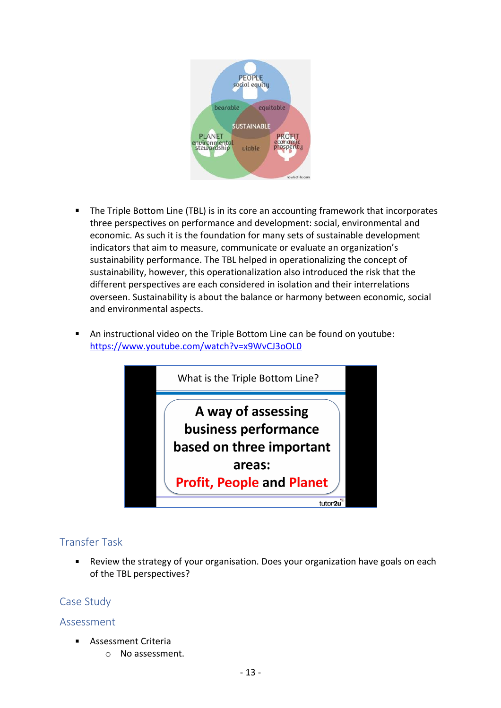

- The Triple Bottom Line (TBL) is in its core an accounting framework that incorporates  $\blacksquare$ three perspectives on performance and development: social, environmental and economic. As such it is the foundation for many sets of sustainable development indicators that aim to measure, communicate or evaluate an organization's sustainability performance. The TBL helped in operationalizing the concept of sustainability, however, this operationalization also introduced the risk that the different perspectives are each considered in isolation and their interrelations overseen. Sustainability is about the balance or harmony between economic, social and environmental aspects.
- An instructional video on the Triple Bottom Line can be found on youtube: <https://www.youtube.com/watch?v=x9WvCJ3oOL0>



# Transfer Task

 $\blacksquare$ Review the strategy of your organisation. Does your organization have goals on each of the TBL perspectives?

#### Case Study

- Assessment Criteria  $\blacksquare$ 
	- o No assessment.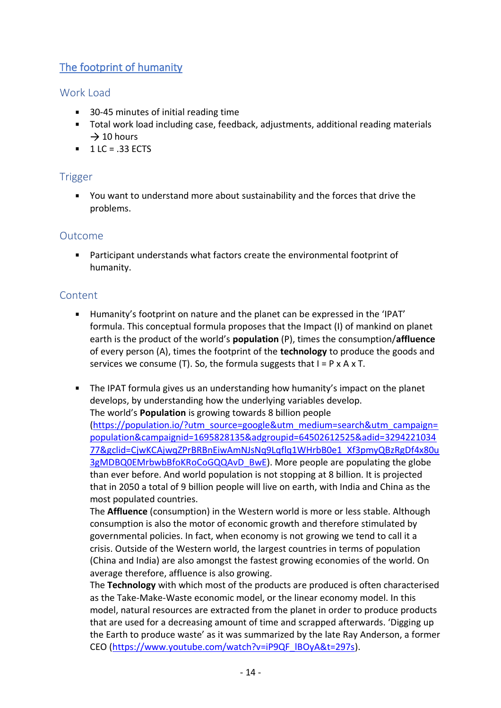# <span id="page-13-0"></span>The footprint of humanity

# Work Load

- 30-45 minutes of initial reading time
- Total work load including case, feedback, adjustments, additional reading materials  $\rightarrow$  10 hours
- $1 LC = .33 ECTS$

## Trigger

You want to understand more about sustainability and the forces that drive the problems.

#### Outcome

Participant understands what factors create the environmental footprint of humanity.

#### **Content**

- Humanity's footprint on nature and the planet can be expressed in the 'IPAT' formula. This conceptual formula proposes that the Impact (I) of mankind on planet earth is the product of the world's **population** (P), times the consumption/**affluence** of every person (A), times the footprint of the **technology** to produce the goods and services we consume (T). So, the formula suggests that  $I = P \times A \times T$ .
- The IPAT formula gives us an understanding how humanity's impact on the planet develops, by understanding how the underlying variables develop. The world's **Population** is growing towards 8 billion people [\(https://population.io/?utm\\_source=google&utm\\_medium=search&utm\\_campaign=](https://population.io/?utm_source=google&utm_medium=search&utm_campaign=population&campaignid=1695828135&adgroupid=64502612525&adid=329422103477&gclid=CjwKCAjwqZPrBRBnEiwAmNJsNq9Lqflq1WHrbB0e1_Xf3pmyQBzRgDf4x80u3gMDBQ0EMrbwbBfoKRoCoGQQAvD_BwE) [population&campaignid=1695828135&adgroupid=64502612525&adid=3294221034](https://population.io/?utm_source=google&utm_medium=search&utm_campaign=population&campaignid=1695828135&adgroupid=64502612525&adid=329422103477&gclid=CjwKCAjwqZPrBRBnEiwAmNJsNq9Lqflq1WHrbB0e1_Xf3pmyQBzRgDf4x80u3gMDBQ0EMrbwbBfoKRoCoGQQAvD_BwE) [77&gclid=CjwKCAjwqZPrBRBnEiwAmNJsNq9Lqflq1WHrbB0e1\\_Xf3pmyQBzRgDf4x80u](https://population.io/?utm_source=google&utm_medium=search&utm_campaign=population&campaignid=1695828135&adgroupid=64502612525&adid=329422103477&gclid=CjwKCAjwqZPrBRBnEiwAmNJsNq9Lqflq1WHrbB0e1_Xf3pmyQBzRgDf4x80u3gMDBQ0EMrbwbBfoKRoCoGQQAvD_BwE) [3gMDBQ0EMrbwbBfoKRoCoGQQAvD\\_BwE\)](https://population.io/?utm_source=google&utm_medium=search&utm_campaign=population&campaignid=1695828135&adgroupid=64502612525&adid=329422103477&gclid=CjwKCAjwqZPrBRBnEiwAmNJsNq9Lqflq1WHrbB0e1_Xf3pmyQBzRgDf4x80u3gMDBQ0EMrbwbBfoKRoCoGQQAvD_BwE). More people are populating the globe than ever before. And world population is not stopping at 8 billion. It is projected that in 2050 a total of 9 billion people will live on earth, with India and China as the most populated countries.

The **Affluence** (consumption) in the Western world is more or less stable. Although consumption is also the motor of economic growth and therefore stimulated by governmental policies. In fact, when economy is not growing we tend to call it a crisis. Outside of the Western world, the largest countries in terms of population (China and India) are also amongst the fastest growing economies of the world. On average therefore, affluence is also growing.

The **Technology** with which most of the products are produced is often characterised as the Take-Make-Waste economic model, or the linear economy model. In this model, natural resources are extracted from the planet in order to produce products that are used for a decreasing amount of time and scrapped afterwards. 'Digging up the Earth to produce waste' as it was summarized by the late Ray Anderson, a former CEO [\(https://www.youtube.com/watch?v=iP9QF\\_lBOyA&t=297s\)](https://www.youtube.com/watch?v=iP9QF_lBOyA&t=297s).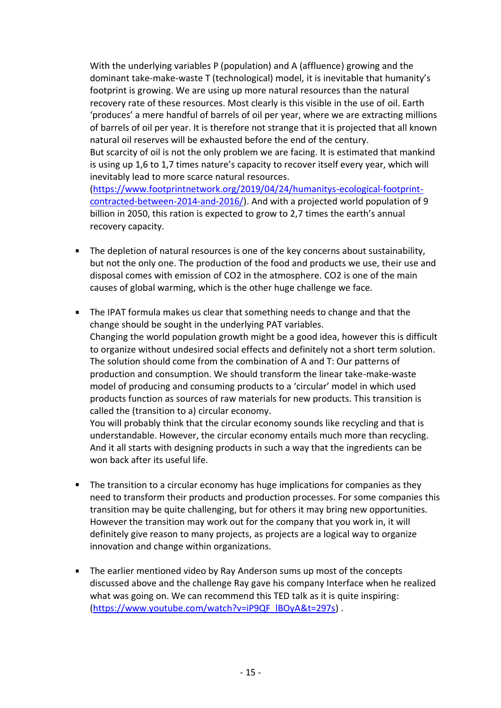With the underlying variables P (population) and A (affluence) growing and the dominant take-make-waste T (technological) model, it is inevitable that humanity's footprint is growing. We are using up more natural resources than the natural recovery rate of these resources. Most clearly is this visible in the use of oil. Earth 'produces' a mere handful of barrels of oil per year, where we are extracting millions of barrels of oil per year. It is therefore not strange that it is projected that all known natural oil reserves will be exhausted before the end of the century. But scarcity of oil is not the only problem we are facing. It is estimated that mankind is using up 1,6 to 1,7 times nature's capacity to recover itself every year, which will inevitably lead to more scarce natural resources. [\(https://www.footprintnetwork.org/2019/04/24/humanitys-ecological-footprint](https://www.footprintnetwork.org/2019/04/24/humanitys-ecological-footprint-contracted-between-2014-and-2016/)[contracted-between-2014-and-2016/\)](https://www.footprintnetwork.org/2019/04/24/humanitys-ecological-footprint-contracted-between-2014-and-2016/). And with a projected world population of 9 billion in 2050, this ration is expected to grow to 2,7 times the earth's annual recovery capacity.

- The depletion of natural resources is one of the key concerns about sustainability, but not the only one. The production of the food and products we use, their use and disposal comes with emission of CO2 in the atmosphere. CO2 is one of the main causes of global warming, which is the other huge challenge we face.
- **The IPAT formula makes us clear that something needs to change and that the** change should be sought in the underlying PAT variables. Changing the world population growth might be a good idea, however this is difficult to organize without undesired social effects and definitely not a short term solution. The solution should come from the combination of A and T: Our patterns of production and consumption. We should transform the linear take-make-waste model of producing and consuming products to a 'circular' model in which used products function as sources of raw materials for new products. This transition is called the (transition to a) circular economy.

You will probably think that the circular economy sounds like recycling and that is understandable. However, the circular economy entails much more than recycling. And it all starts with designing products in such a way that the ingredients can be won back after its useful life.

- **The transition to a circular economy has huge implications for companies as they** need to transform their products and production processes. For some companies this transition may be quite challenging, but for others it may bring new opportunities. However the transition may work out for the company that you work in, it will definitely give reason to many projects, as projects are a logical way to organize innovation and change within organizations.
- The earlier mentioned video by Ray Anderson sums up most of the concepts discussed above and the challenge Ray gave his company Interface when he realized what was going on. We can recommend this TED talk as it is quite inspiring: [\(https://www.youtube.com/watch?v=iP9QF\\_lBOyA&t=297s\)](https://www.youtube.com/watch?v=iP9QF_lBOyA&t=297s).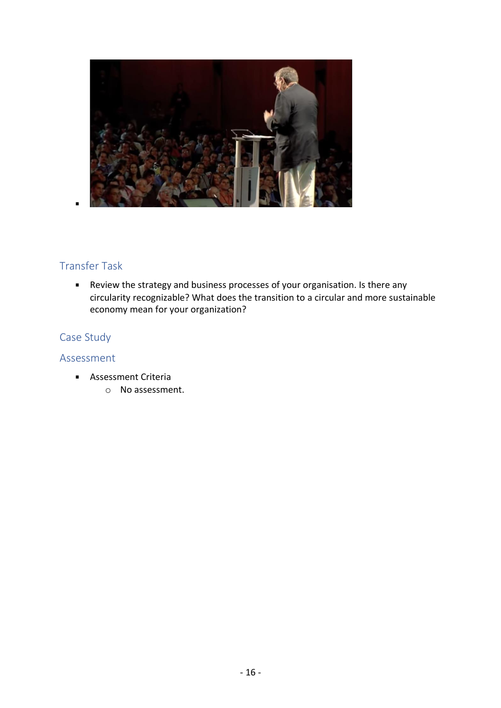

# Transfer Task

Review the strategy and business processes of your organisation. Is there any circularity recognizable? What does the transition to a circular and more sustainable economy mean for your organization?

# Case Study

- **Assessment Criteria** 
	- o No assessment.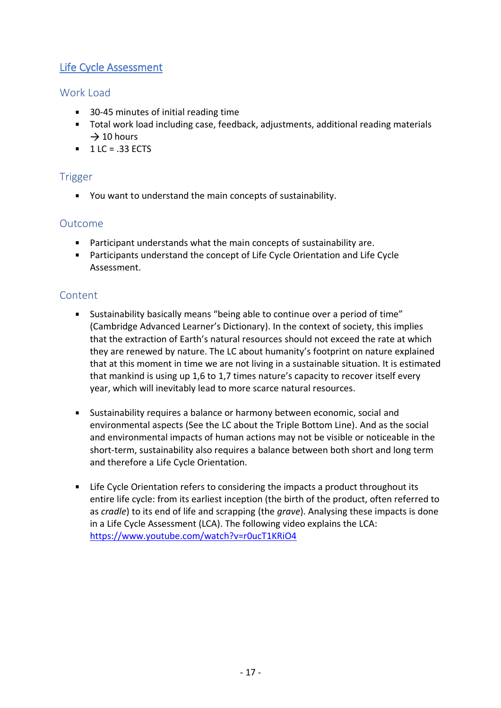# <span id="page-16-0"></span>Life Cycle Assessment

# Work Load

- 30-45 minutes of initial reading time
- Total work load including case, feedback, adjustments, additional reading materials  $\rightarrow$  10 hours
- $\blacksquare$  1 LC = .33 ECTS

## Trigger

You want to understand the main concepts of sustainability.

## Outcome

- Participant understands what the main concepts of sustainability are.
- Participants understand the concept of Life Cycle Orientation and Life Cycle Assessment.

- Sustainability basically means "being able to continue over a period of time" (Cambridge Advanced Learner's Dictionary). In the context of society, this implies that the extraction of Earth's natural resources should not exceed the rate at which they are renewed by nature. The LC about humanity's footprint on nature explained that at this moment in time we are not living in a sustainable situation. It is estimated that mankind is using up 1,6 to 1,7 times nature's capacity to recover itself every year, which will inevitably lead to more scarce natural resources.
- Sustainability requires a balance or harmony between economic, social and environmental aspects (See the LC about the Triple Bottom Line). And as the social and environmental impacts of human actions may not be visible or noticeable in the short-term, sustainability also requires a balance between both short and long term and therefore a Life Cycle Orientation.
- **EXTE:** Life Cycle Orientation refers to considering the impacts a product throughout its entire life cycle: from its earliest inception (the birth of the product, often referred to as *cradle*) to its end of life and scrapping (the *grave*). Analysing these impacts is done in a Life Cycle Assessment (LCA). The following video explains the LCA: <https://www.youtube.com/watch?v=r0ucT1KRiO4>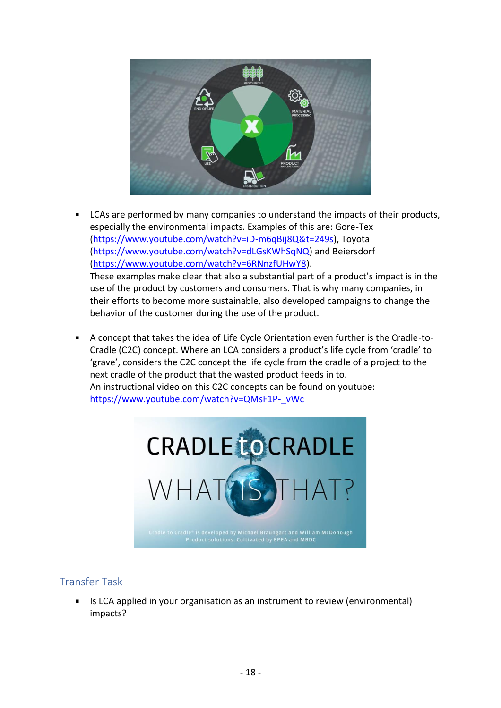

- LCAs are performed by many companies to understand the impacts of their products, especially the environmental impacts. Examples of this are: Gore-Tex [\(https://www.youtube.com/watch?v=iD-m6qBij8Q&t=249s\)](https://www.youtube.com/watch?v=iD-m6qBij8Q&t=249s), Toyota [\(https://www.youtube.com/watch?v=dLGsKWhSqNQ\)](https://www.youtube.com/watch?v=dLGsKWhSqNQ) and Beiersdorf [\(https://www.youtube.com/watch?v=6RNnzfUHwY8\)](https://www.youtube.com/watch?v=6RNnzfUHwY8). These examples make clear that also a substantial part of a product's impact is in the use of the product by customers and consumers. That is why many companies, in their efforts to become more sustainable, also developed campaigns to change the behavior of the customer during the use of the product.
- $\blacksquare$ A concept that takes the idea of Life Cycle Orientation even further is the Cradle-to-Cradle (C2C) concept. Where an LCA considers a product's life cycle from 'cradle' to 'grave', considers the C2C concept the life cycle from the cradle of a project to the next cradle of the product that the wasted product feeds in to. An instructional video on this C2C concepts can be found on youtube: [https://www.youtube.com/watch?v=QMsF1P-\\_vWc](https://www.youtube.com/watch?v=QMsF1P-_vWc)



# Transfer Task

Is LCA applied in your organisation as an instrument to review (environmental) impacts?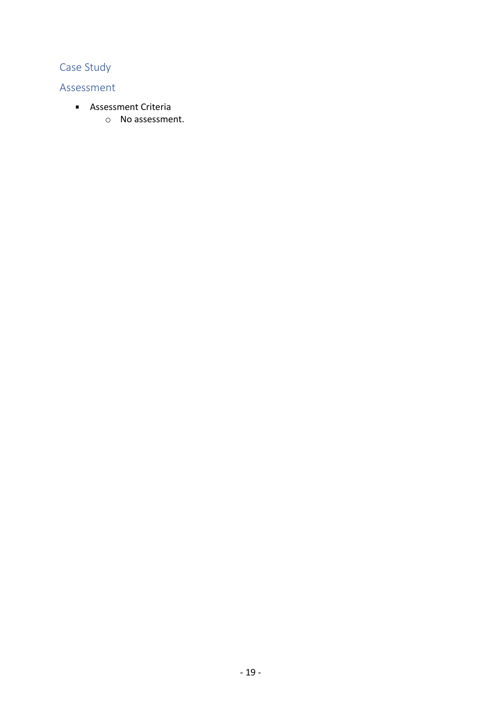# Case Study

- **Assessment Criteria** 
	- o No assessment.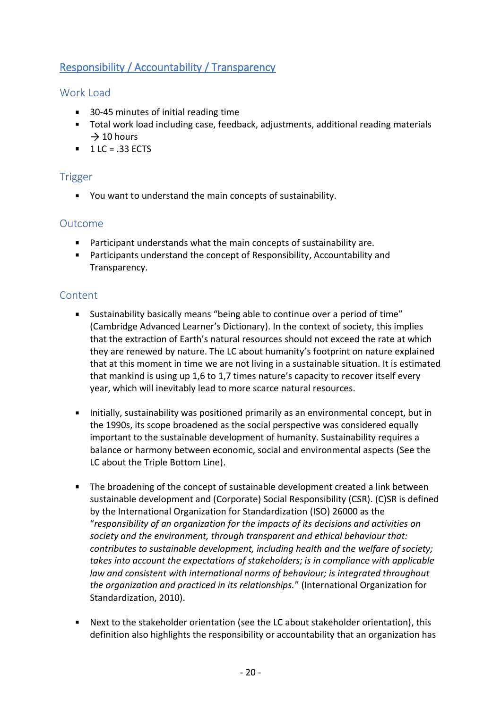# <span id="page-19-0"></span>Responsibility / Accountability / Transparency

# Work Load

- 30-45 minutes of initial reading time
- Total work load including case, feedback, adjustments, additional reading materials  $\rightarrow$  10 hours
- $1 LC = .33 ECTS$

#### Trigger

You want to understand the main concepts of sustainability.

## Outcome

- Participant understands what the main concepts of sustainability are.
- Participants understand the concept of Responsibility, Accountability and Transparency.

- Sustainability basically means "being able to continue over a period of time" (Cambridge Advanced Learner's Dictionary). In the context of society, this implies that the extraction of Earth's natural resources should not exceed the rate at which they are renewed by nature. The LC about humanity's footprint on nature explained that at this moment in time we are not living in a sustainable situation. It is estimated that mankind is using up 1,6 to 1,7 times nature's capacity to recover itself every year, which will inevitably lead to more scarce natural resources.
- Initially, sustainability was positioned primarily as an environmental concept, but in the 1990s, its scope broadened as the social perspective was considered equally important to the sustainable development of humanity. Sustainability requires a balance or harmony between economic, social and environmental aspects (See the LC about the Triple Bottom Line).
- The broadening of the concept of sustainable development created a link between sustainable development and (Corporate) Social Responsibility (CSR). (C)SR is defined by the International Organization for Standardization (ISO) 26000 as the "*responsibility of an organization for the impacts of its decisions and activities on society and the environment, through transparent and ethical behaviour that: contributes to sustainable development, including health and the welfare of society; takes into account the expectations of stakeholders; is in compliance with applicable law and consistent with international norms of behaviour; is integrated throughout the organization and practiced in its relationships.*" (International Organization for Standardization, 2010).
- Next to the stakeholder orientation (see the LC about stakeholder orientation), this definition also highlights the responsibility or accountability that an organization has